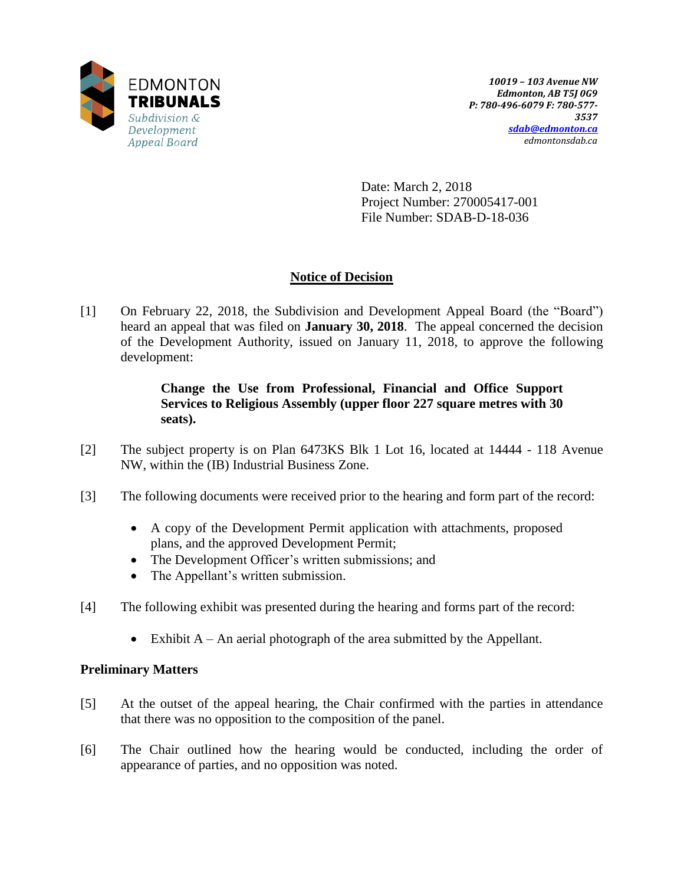

Date: March 2, 2018 Project Number: 270005417-001 File Number: SDAB-D-18-036

# **Notice of Decision**

[1] On February 22, 2018, the Subdivision and Development Appeal Board (the "Board") heard an appeal that was filed on **January 30, 2018**. The appeal concerned the decision of the Development Authority, issued on January 11, 2018, to approve the following development:

# **Change the Use from Professional, Financial and Office Support Services to Religious Assembly (upper floor 227 square metres with 30 seats).**

- [2] The subject property is on Plan 6473KS Blk 1 Lot 16, located at 14444 118 Avenue NW, within the (IB) Industrial Business Zone.
- [3] The following documents were received prior to the hearing and form part of the record:
	- A copy of the Development Permit application with attachments, proposed plans, and the approved Development Permit;
	- The Development Officer's written submissions; and
	- The Appellant's written submission.
- [4] The following exhibit was presented during the hearing and forms part of the record:
	- Exhibit A An aerial photograph of the area submitted by the Appellant.

# **Preliminary Matters**

- [5] At the outset of the appeal hearing, the Chair confirmed with the parties in attendance that there was no opposition to the composition of the panel.
- [6] The Chair outlined how the hearing would be conducted, including the order of appearance of parties, and no opposition was noted.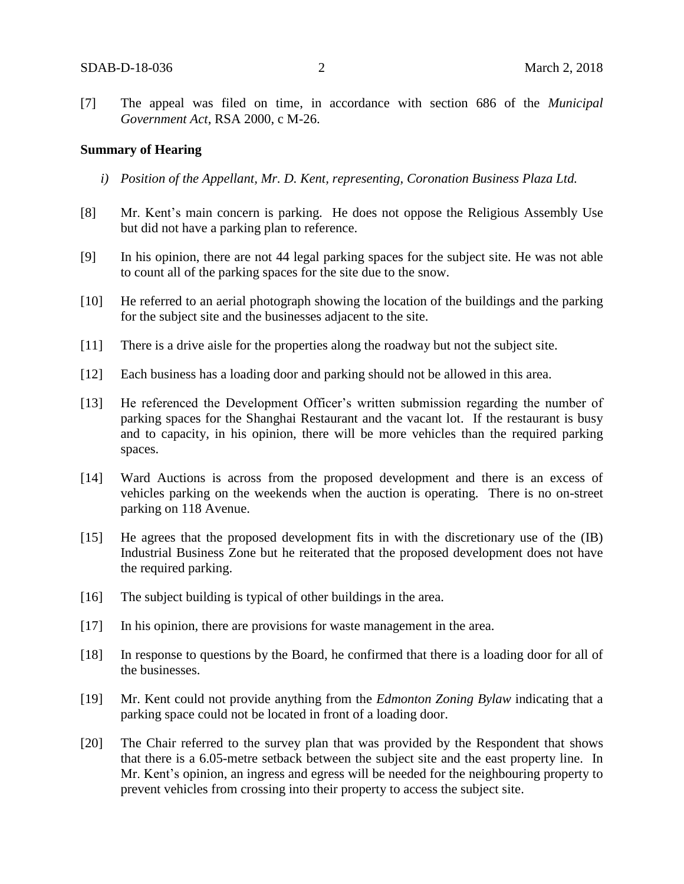[7] The appeal was filed on time, in accordance with section 686 of the *Municipal Government Act*, RSA 2000, c M-26.

#### **Summary of Hearing**

- *i) Position of the Appellant, Mr. D. Kent, representing, Coronation Business Plaza Ltd.*
- [8] Mr. Kent's main concern is parking. He does not oppose the Religious Assembly Use but did not have a parking plan to reference.
- [9] In his opinion, there are not 44 legal parking spaces for the subject site. He was not able to count all of the parking spaces for the site due to the snow.
- [10] He referred to an aerial photograph showing the location of the buildings and the parking for the subject site and the businesses adjacent to the site.
- [11] There is a drive aisle for the properties along the roadway but not the subject site.
- [12] Each business has a loading door and parking should not be allowed in this area.
- [13] He referenced the Development Officer's written submission regarding the number of parking spaces for the Shanghai Restaurant and the vacant lot. If the restaurant is busy and to capacity, in his opinion, there will be more vehicles than the required parking spaces.
- [14] Ward Auctions is across from the proposed development and there is an excess of vehicles parking on the weekends when the auction is operating. There is no on-street parking on 118 Avenue.
- [15] He agrees that the proposed development fits in with the discretionary use of the (IB) Industrial Business Zone but he reiterated that the proposed development does not have the required parking.
- [16] The subject building is typical of other buildings in the area.
- [17] In his opinion, there are provisions for waste management in the area.
- [18] In response to questions by the Board, he confirmed that there is a loading door for all of the businesses.
- [19] Mr. Kent could not provide anything from the *Edmonton Zoning Bylaw* indicating that a parking space could not be located in front of a loading door.
- [20] The Chair referred to the survey plan that was provided by the Respondent that shows that there is a 6.05-metre setback between the subject site and the east property line. In Mr. Kent's opinion, an ingress and egress will be needed for the neighbouring property to prevent vehicles from crossing into their property to access the subject site.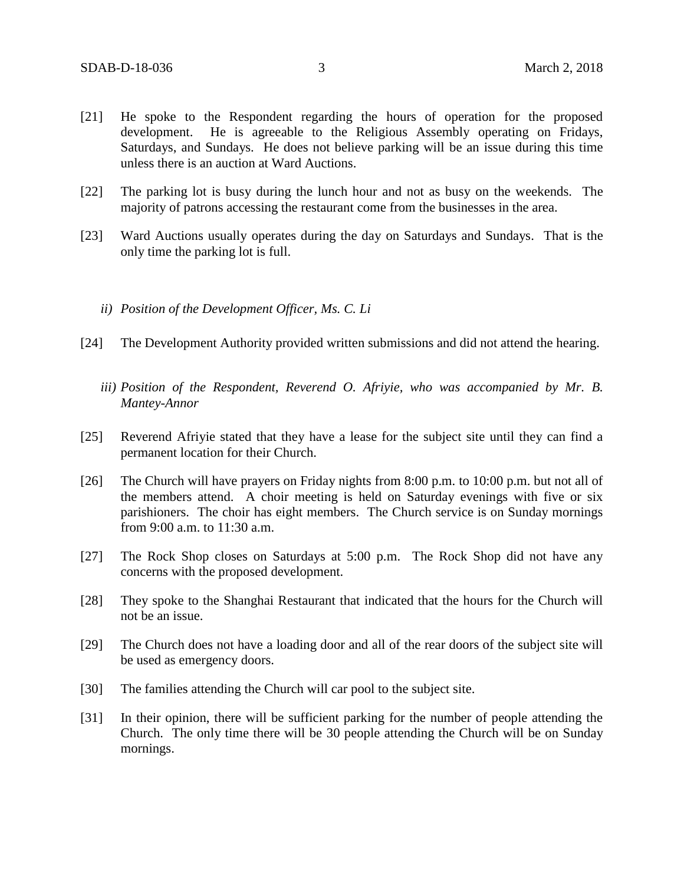- [21] He spoke to the Respondent regarding the hours of operation for the proposed development. He is agreeable to the Religious Assembly operating on Fridays, Saturdays, and Sundays. He does not believe parking will be an issue during this time unless there is an auction at Ward Auctions.
- [22] The parking lot is busy during the lunch hour and not as busy on the weekends. The majority of patrons accessing the restaurant come from the businesses in the area.
- [23] Ward Auctions usually operates during the day on Saturdays and Sundays. That is the only time the parking lot is full.
	- *ii) Position of the Development Officer, Ms. C. Li*
- [24] The Development Authority provided written submissions and did not attend the hearing.
	- *iii) Position of the Respondent, Reverend O. Afriyie, who was accompanied by Mr. B. Mantey-Annor*
- [25] Reverend Afriyie stated that they have a lease for the subject site until they can find a permanent location for their Church.
- [26] The Church will have prayers on Friday nights from 8:00 p.m. to 10:00 p.m. but not all of the members attend. A choir meeting is held on Saturday evenings with five or six parishioners. The choir has eight members. The Church service is on Sunday mornings from 9:00 a.m. to 11:30 a.m.
- [27] The Rock Shop closes on Saturdays at 5:00 p.m. The Rock Shop did not have any concerns with the proposed development.
- [28] They spoke to the Shanghai Restaurant that indicated that the hours for the Church will not be an issue.
- [29] The Church does not have a loading door and all of the rear doors of the subject site will be used as emergency doors.
- [30] The families attending the Church will car pool to the subject site.
- [31] In their opinion, there will be sufficient parking for the number of people attending the Church. The only time there will be 30 people attending the Church will be on Sunday mornings.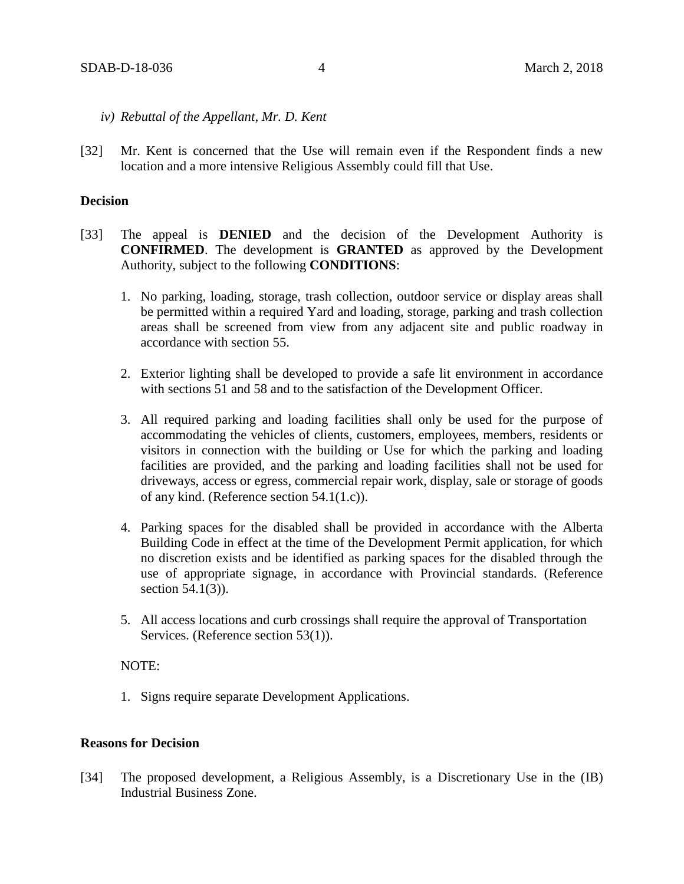- *iv) Rebuttal of the Appellant, Mr. D. Kent*
- [32] Mr. Kent is concerned that the Use will remain even if the Respondent finds a new location and a more intensive Religious Assembly could fill that Use.

### **Decision**

- [33] The appeal is **DENIED** and the decision of the Development Authority is **CONFIRMED**. The development is **GRANTED** as approved by the Development Authority, subject to the following **CONDITIONS**:
	- 1. No parking, loading, storage, trash collection, outdoor service or display areas shall be permitted within a required Yard and loading, storage, parking and trash collection areas shall be screened from view from any adjacent site and public roadway in accordance with section 55.
	- 2. Exterior lighting shall be developed to provide a safe lit environment in accordance with sections 51 and 58 and to the satisfaction of the Development Officer.
	- 3. All required parking and loading facilities shall only be used for the purpose of accommodating the vehicles of clients, customers, employees, members, residents or visitors in connection with the building or Use for which the parking and loading facilities are provided, and the parking and loading facilities shall not be used for driveways, access or egress, commercial repair work, display, sale or storage of goods of any kind. (Reference section 54.1(1.c)).
	- 4. Parking spaces for the disabled shall be provided in accordance with the Alberta Building Code in effect at the time of the Development Permit application, for which no discretion exists and be identified as parking spaces for the disabled through the use of appropriate signage, in accordance with Provincial standards. (Reference section 54.1(3)).
	- 5. All access locations and curb crossings shall require the approval of Transportation Services. (Reference section 53(1)).

#### NOTE:

1. Signs require separate Development Applications.

### **Reasons for Decision**

[34] The proposed development, a Religious Assembly, is a Discretionary Use in the (IB) Industrial Business Zone.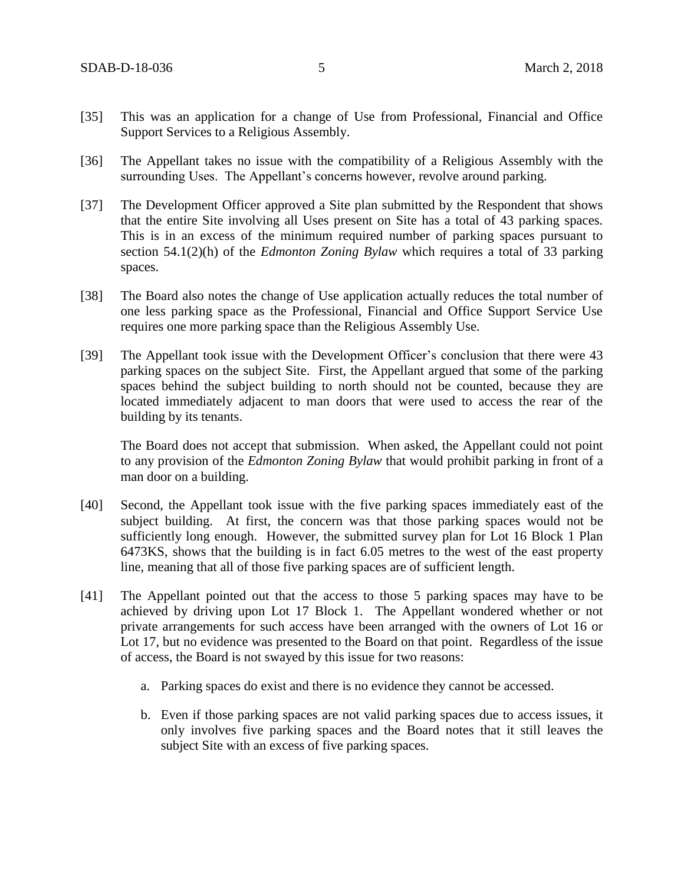- [35] This was an application for a change of Use from Professional, Financial and Office Support Services to a Religious Assembly.
- [36] The Appellant takes no issue with the compatibility of a Religious Assembly with the surrounding Uses. The Appellant's concerns however, revolve around parking.
- [37] The Development Officer approved a Site plan submitted by the Respondent that shows that the entire Site involving all Uses present on Site has a total of 43 parking spaces. This is in an excess of the minimum required number of parking spaces pursuant to section 54.1(2)(h) of the *Edmonton Zoning Bylaw* which requires a total of 33 parking spaces.
- [38] The Board also notes the change of Use application actually reduces the total number of one less parking space as the Professional, Financial and Office Support Service Use requires one more parking space than the Religious Assembly Use.
- [39] The Appellant took issue with the Development Officer's conclusion that there were 43 parking spaces on the subject Site. First, the Appellant argued that some of the parking spaces behind the subject building to north should not be counted, because they are located immediately adjacent to man doors that were used to access the rear of the building by its tenants.

The Board does not accept that submission. When asked, the Appellant could not point to any provision of the *Edmonton Zoning Bylaw* that would prohibit parking in front of a man door on a building.

- [40] Second, the Appellant took issue with the five parking spaces immediately east of the subject building. At first, the concern was that those parking spaces would not be sufficiently long enough. However, the submitted survey plan for Lot 16 Block 1 Plan 6473KS, shows that the building is in fact 6.05 metres to the west of the east property line, meaning that all of those five parking spaces are of sufficient length.
- [41] The Appellant pointed out that the access to those 5 parking spaces may have to be achieved by driving upon Lot 17 Block 1. The Appellant wondered whether or not private arrangements for such access have been arranged with the owners of Lot 16 or Lot 17, but no evidence was presented to the Board on that point. Regardless of the issue of access, the Board is not swayed by this issue for two reasons:
	- a. Parking spaces do exist and there is no evidence they cannot be accessed.
	- b. Even if those parking spaces are not valid parking spaces due to access issues, it only involves five parking spaces and the Board notes that it still leaves the subject Site with an excess of five parking spaces.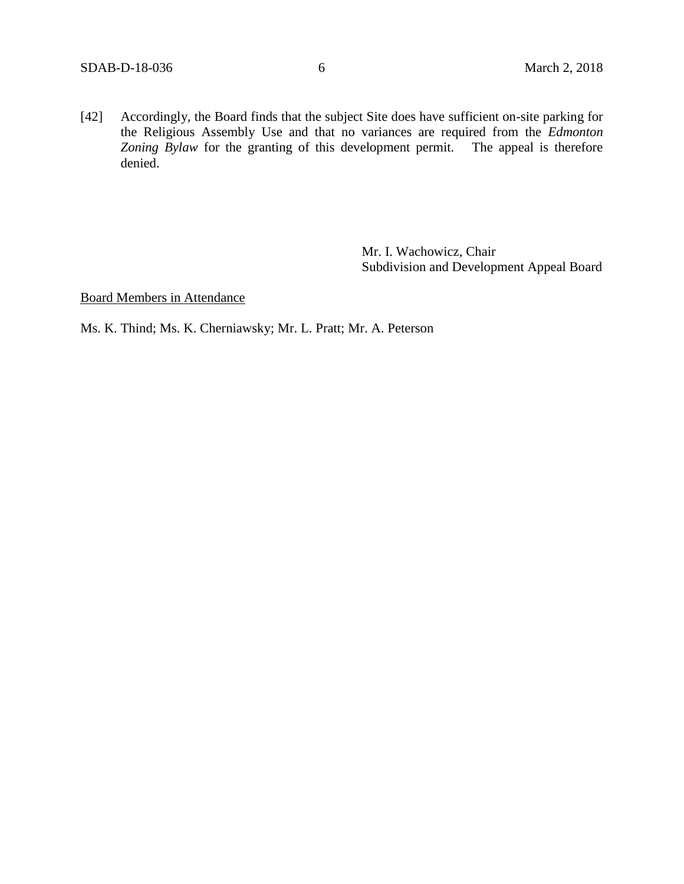[42] Accordingly, the Board finds that the subject Site does have sufficient on-site parking for the Religious Assembly Use and that no variances are required from the *Edmonton Zoning Bylaw* for the granting of this development permit. The appeal is therefore denied.

> Mr. I. Wachowicz, Chair Subdivision and Development Appeal Board

Board Members in Attendance

Ms. K. Thind; Ms. K. Cherniawsky; Mr. L. Pratt; Mr. A. Peterson